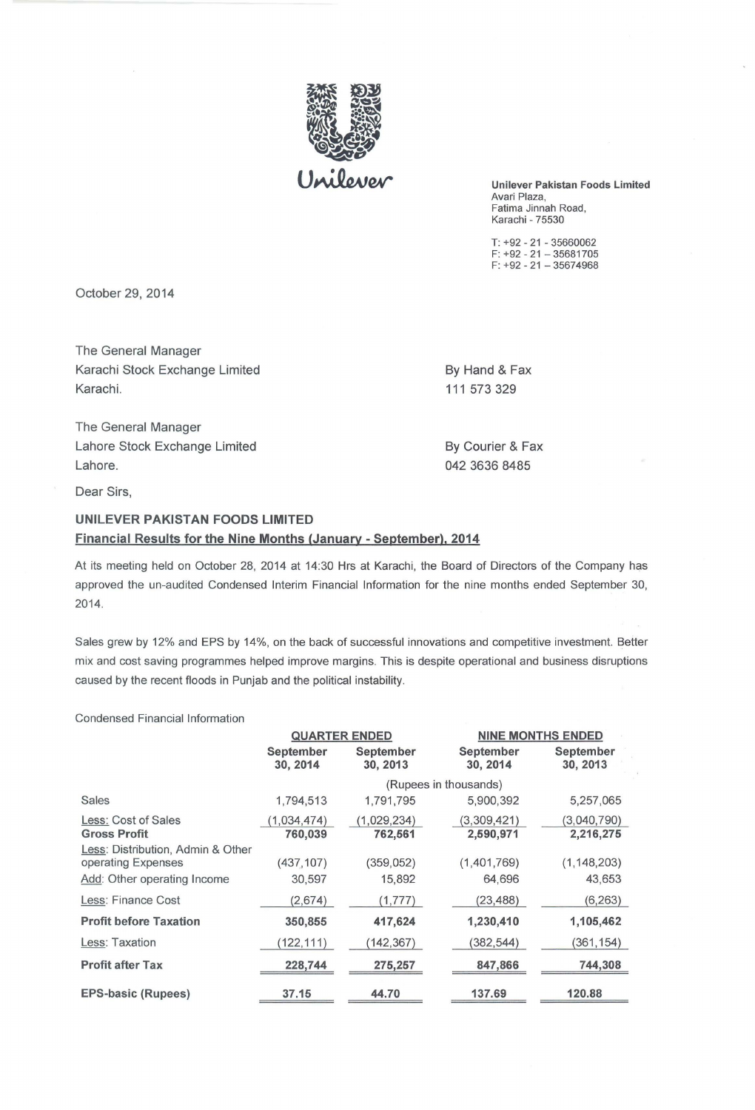

Unilever Pakistan Foods Limited Avari Plaza, Fatima Jinnah Road, Karachi - 75530

T: +92 - 21 - 35660062 F: +92 - 21 - 35681705 F: +92 - 21 - 35674968

October 29, 2014

The General Manager Karachi Stock Exchange Limited By Hand & Fax Karachi. 111 573 329

The General Manager Lahore Stock Exchange Limited By Courier & Fax Lahore. 042 3636 8485

Dear Sirs,

## UNILEVER PAKISTAN FOODS LIMITED Financial Results for the Nine Months (January - September), 2014

At its meeting held on October 28, 2014 at 14:30 Hrs at Karachi, the Board of Directors of the Company has approved the un-audited Condensed Interim Financial Information for the nine months ended September 30, 2014.

Sales grew by 12% and EPS by 14%, on the back of successful innovations and competitive investment. Better mix and cost saving programmes helped improve margins. This is despite operational and business disruptions caused by the recent floods in Punjab and the political instability.

Condensed Financial Information

|                                                                                        | <b>QUARTER ENDED</b>   |                        |                              | <b>NINE MONTHS ENDED</b> |  |
|----------------------------------------------------------------------------------------|------------------------|------------------------|------------------------------|--------------------------|--|
|                                                                                        | September<br>30, 2014  | September<br>30, 2013  | <b>September</b><br>30, 2014 | September<br>30, 2013    |  |
|                                                                                        | (Rupees in thousands)  |                        |                              |                          |  |
| Sales                                                                                  | 1,794,513              | 1,791,795              | 5,900,392                    | 5,257,065                |  |
| Less: Cost of Sales<br><b>Gross Profit</b>                                             | (1,034,474)<br>760,039 | (1,029,234)<br>762,561 | (3,309,421)<br>2,590,971     | (3,040,790)<br>2,216,275 |  |
| Less: Distribution, Admin & Other<br>operating Expenses<br>Add: Other operating Income | (437, 107)<br>30,597   | (359, 052)<br>15,892   | (1,401,769)<br>64,696        | (1, 148, 203)<br>43,653  |  |
| Less: Finance Cost                                                                     | (2,674)                | (1,777)                | (23, 488)                    | (6, 263)                 |  |
| <b>Profit before Taxation</b>                                                          | 350,855                | 417,624                | 1,230,410                    | 1,105,462                |  |
| Less: Taxation                                                                         | (122, 111)             | (142, 367)             | (382, 544)                   | (361,154)                |  |
| <b>Profit after Tax</b>                                                                | 228,744                | 275,257                | 847,866                      | 744,308                  |  |
| <b>EPS-basic (Rupees)</b>                                                              | 37.15                  | 44.70                  | 137.69                       | 120.88                   |  |